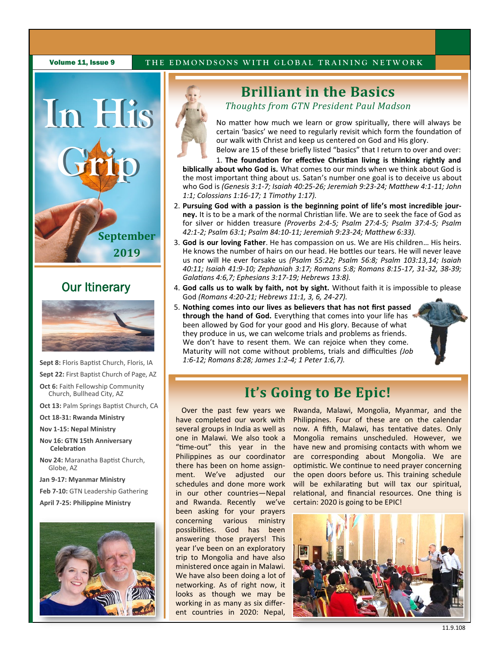

## **Our Itinerary**



- **Sept 8:** Floris Baptist Church, Floris, IA
- **Sept 22:** First Baptist Church of Page, AZ **Oct 6: Faith Fellowship Community** Church, Bullhead City, AZ
- **Oct 13:** Palm Springs Baptist Church, CA
- **Oct 18-31: Rwanda Ministry**
- **Nov 1-15: Nepal Ministry**
- **Nov 16: GTN 15th Anniversary Celebration**
- **Nov 24:** Maranatha Baptist Church, Globe, AZ

**Jan 9-17: Myanmar Ministry**

**Feb 7-10:** GTN Leadership Gathering

**April 7-25: Philippine Ministry**



# **Brilliant in the Basics**

*Thoughts from GTN President Paul Madson* 

No matter how much we learn or grow spiritually, there will always be certain 'basics' we need to regularly revisit which form the foundation of our walk with Christ and keep us centered on God and His glory.

Below are 15 of these briefly listed "basics" that I return to over and over:

1. **The foundation for effective Christian living is thinking rightly and biblically about who God is.** What comes to our minds when we think about God is the most important thing about us. Satan's number one goal is to deceive us about who God is *(Genesis 3:1-7; Isaiah 40:25-26; Jeremiah 9:23-24; Matthew 4:1-11; John 1:1; Colossians 1:16-17; 1 Timothy 1:17).*

- 2. **Pursuing God with a passion is the beginning point of life's most incredible journey.** It is to be a mark of the normal Christian life. We are to seek the face of God as for silver or hidden treasure *(Proverbs 2:4-5; Psalm 27:4-5; Psalm 37:4-5; Psalm 42:1-2; Psalm 63:1; Psalm 84:10-11; Jeremiah 9:23-24; Matthew 6:33).*
- 3. **God is our loving Father**. He has compassion on us. We are His children… His heirs. He knows the number of hairs on our head. He bottles our tears. He will never leave us nor will He ever forsake us *(Psalm 55:22; Psalm 56:8; Psalm 103:13,14; Isaiah 40:11; Isaiah 41:9-10; Zephaniah 3:17; Romans 5:8; Romans 8:15-17, 31-32, 38-39; Galatians 4:6,7; Ephesians 3:17-19; Hebrews 13:8).*
- 4. **God calls us to walk by faith, not by sight.** Without faith it is impossible to please God *(Romans 4:20-21; Hebrews 11:1, 3, 6, 24-27).*
- 5. **Nothing comes into our lives as believers that has not first passed through the hand of God.** Everything that comes into your life has been allowed by God for your good and His glory. Because of what they produce in us, we can welcome trials and problems as friends. We don't have to resent them. We can rejoice when they come. Maturity will not come without problems, trials and difficulties *(Job 1:6-12; Romans 8:28; James 1:2-4; 1 Peter 1:6,7).*



## **It's Going to Be Epic!**

Over the past few years we have completed our work with several groups in India as well as one in Malawi. We also took a "time-out" this year in the Philippines as our coordinator there has been on home assignment. We've adjusted our schedules and done more work in our other countries—Nepal and Rwanda. Recently we've been asking for your prayers concerning various ministry possibilities. God has been answering those prayers! This year I've been on an exploratory trip to Mongolia and have also ministered once again in Malawi. We have also been doing a lot of networking. As of right now, it looks as though we may be working in as many as six different countries in 2020: Nepal,

Rwanda, Malawi, Mongolia, Myanmar, and the Philippines. Four of these are on the calendar now. A fifth, Malawi, has tentative dates. Only Mongolia remains unscheduled. However, we have new and promising contacts with whom we are corresponding about Mongolia. We are optimistic. We continue to need prayer concerning the open doors before us. This training schedule will be exhilarating but will tax our spiritual, relational, and financial resources. One thing is certain: 2020 is going to be EPIC!